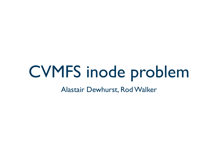## CVMFS inode problem

Alastair Dewhurst, Rod Walker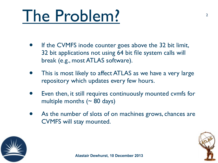## The Problem?

- If the CVMFS inode counter goes above the 32 bit limit, 32 bit applications not using 64 bit file system calls will break (e.g., most ATLAS software).
- This is most likely to affect ATLAS as we have a very large repository which updates every few hours.
- Even then, it still requires continuously mounted cymfs for multiple months  $($   $\sim$  80 days)
- As the number of slots of on machines grows, chances are CVMFS will stay mounted.



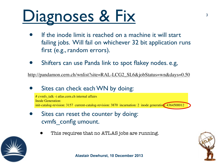## Diagnoses & Fix

- If the inode limit is reached on a machine it will start failing jobs. Will fail on whichever 32 bit application runs first (e.g., random errors).
- Shifters can use Panda link to spot flakey nodes. e.g,

[http://pandamon.cern.ch/wnlist?site=RAL-LCG2\\_SL6&jobStatus=wn&days=0.50](http://pandamon.cern.ch/wnlist?site=RAL-LCG2_SL6&jobStatus=wn&days=0.50)

Sites can check each WN by doing:

# cvmfs talk -i atlas.cern.ch internal affairs Inode Generation: init-catalog-revision: 3157 current-catalog-revision: 3870 incarnation: 2 inode generation: 4364500012

- Sites can reset the counter by doing: cvmfs\_config umount.
	- This requires that no ATLAS jobs are running.